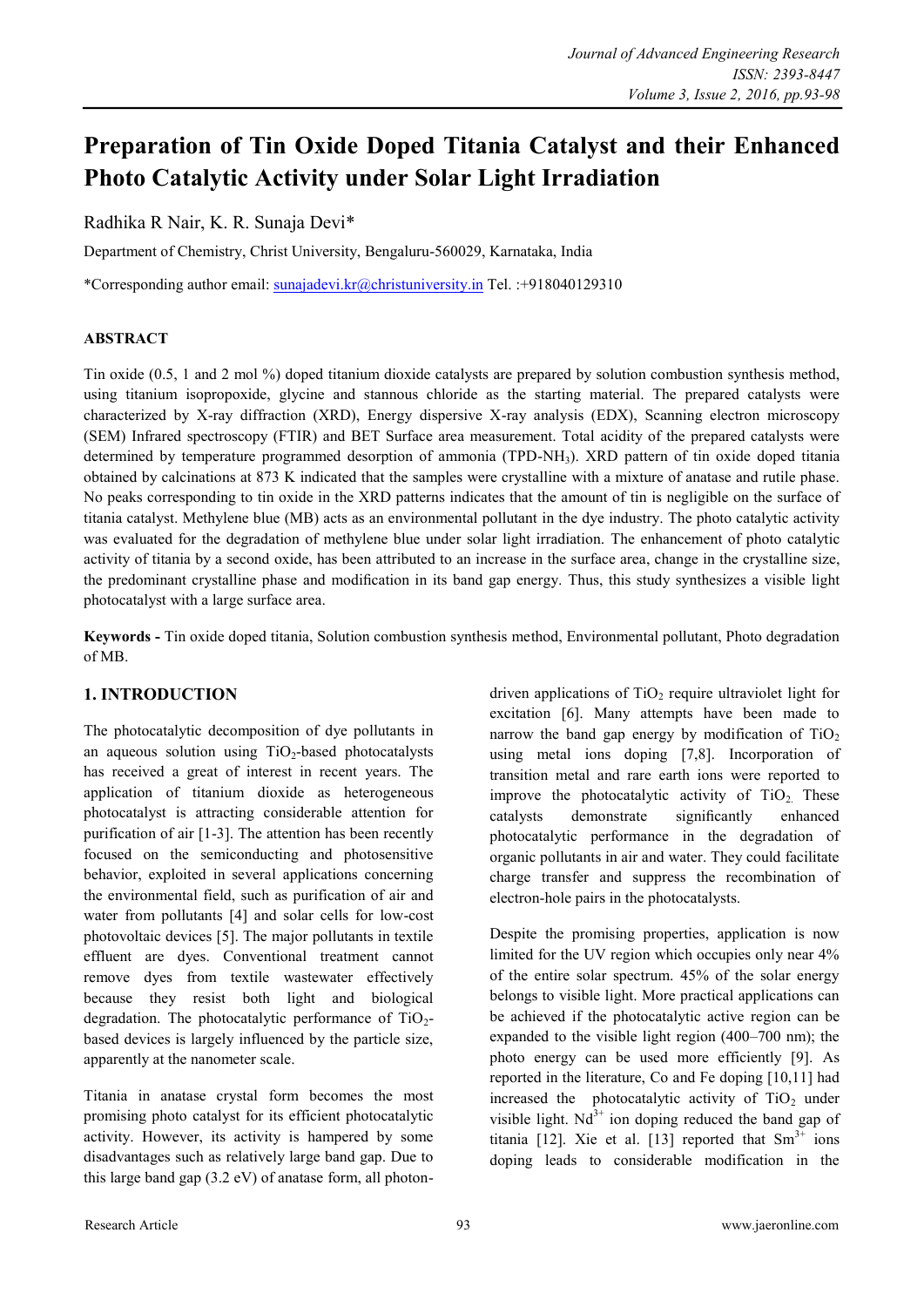# **Preparation of Tin Oxide Doped Titania Catalyst and their Enhanced Photo Catalytic Activity under Solar Light Irradiation**

Radhika R Nair, K. R. Sunaja Devi\*

Department of Chemistry, Christ University, Bengaluru-560029, Karnataka, India

\*Corresponding author email: [sunajadevi.kr@christuniversity.in](mailto:sunajadevi.kr@christuniversity.in) Tel. :+918040129310

# **ABSTRACT**

Tin oxide (0.5, 1 and 2 mol %) doped titanium dioxide catalysts are prepared by solution combustion synthesis method, using titanium isopropoxide, glycine and stannous chloride as the starting material. The prepared catalysts were characterized by X-ray diffraction (XRD), Energy dispersive X-ray analysis (EDX), Scanning electron microscopy (SEM) Infrared spectroscopy (FTIR) and BET Surface area measurement. Total acidity of the prepared catalysts were determined by temperature programmed desorption of ammonia (TPD-NH3). XRD pattern of tin oxide doped titania obtained by calcinations at 873 K indicated that the samples were crystalline with a mixture of anatase and rutile phase. No peaks corresponding to tin oxide in the XRD patterns indicates that the amount of tin is negligible on the surface of titania catalyst. Methylene blue (MB) acts as an environmental pollutant in the dye industry. The photo catalytic activity was evaluated for the degradation of methylene blue under solar light irradiation. The enhancement of photo catalytic activity of titania by a second oxide, has been attributed to an increase in the surface area, change in the crystalline size, the predominant crystalline phase and modification in its band gap energy. Thus, this study synthesizes a visible light photocatalyst with a large surface area.

**Keywords -** Tin oxide doped titania, Solution combustion synthesis method, Environmental pollutant, Photo degradation of MB.

# **1. INTRODUCTION**

The photocatalytic decomposition of dye pollutants in an aqueous solution using  $TiO<sub>2</sub>$ -based photocatalysts has received a great of interest in recent years. The application of titanium dioxide as heterogeneous photocatalyst is attracting considerable attention for purification of air [1-3]. The attention has been recently focused on the semiconducting and photosensitive behavior, exploited in several applications concerning the environmental field, such as purification of air and water from pollutants [4] and solar cells for low-cost photovoltaic devices [5]. The major pollutants in textile effluent are dyes. Conventional treatment cannot remove dyes from textile wastewater effectively because they resist both light and biological degradation. The photocatalytic performance of  $TiO<sub>2</sub>$ based devices is largely influenced by the particle size, apparently at the nanometer scale.

Titania in anatase crystal form becomes the most promising photo catalyst for its efficient photocatalytic activity. However, its activity is hampered by some disadvantages such as relatively large band gap. Due to this large band gap (3.2 eV) of anatase form, all photondriven applications of  $TiO<sub>2</sub>$  require ultraviolet light for excitation [6]. Many attempts have been made to narrow the band gap energy by modification of  $TiO<sub>2</sub>$ using metal ions doping [7,8]. Incorporation of transition metal and rare earth ions were reported to improve the photocatalytic activity of  $TiO<sub>2</sub>$ . These catalysts demonstrate significantly enhanced photocatalytic performance in the degradation of organic pollutants in air and water. They could facilitate charge transfer and suppress the recombination of electron-hole pairs in the photocatalysts.

Despite the promising properties, application is now limited for the UV region which occupies only near 4% of the entire solar spectrum. 45% of the solar energy belongs to visible light. More practical applications can be achieved if the photocatalytic active region can be expanded to the visible light region (400–700 nm); the photo energy can be used more efficiently [9]. As reported in the literature, Co and Fe doping [10,11] had increased the photocatalytic activity of  $TiO<sub>2</sub>$  under visible light.  $Nd^{3+}$  ion doping reduced the band gap of titania [12]. Xie et al. [13] reported that  $Sm^{3+}$  ions doping leads to considerable modification in the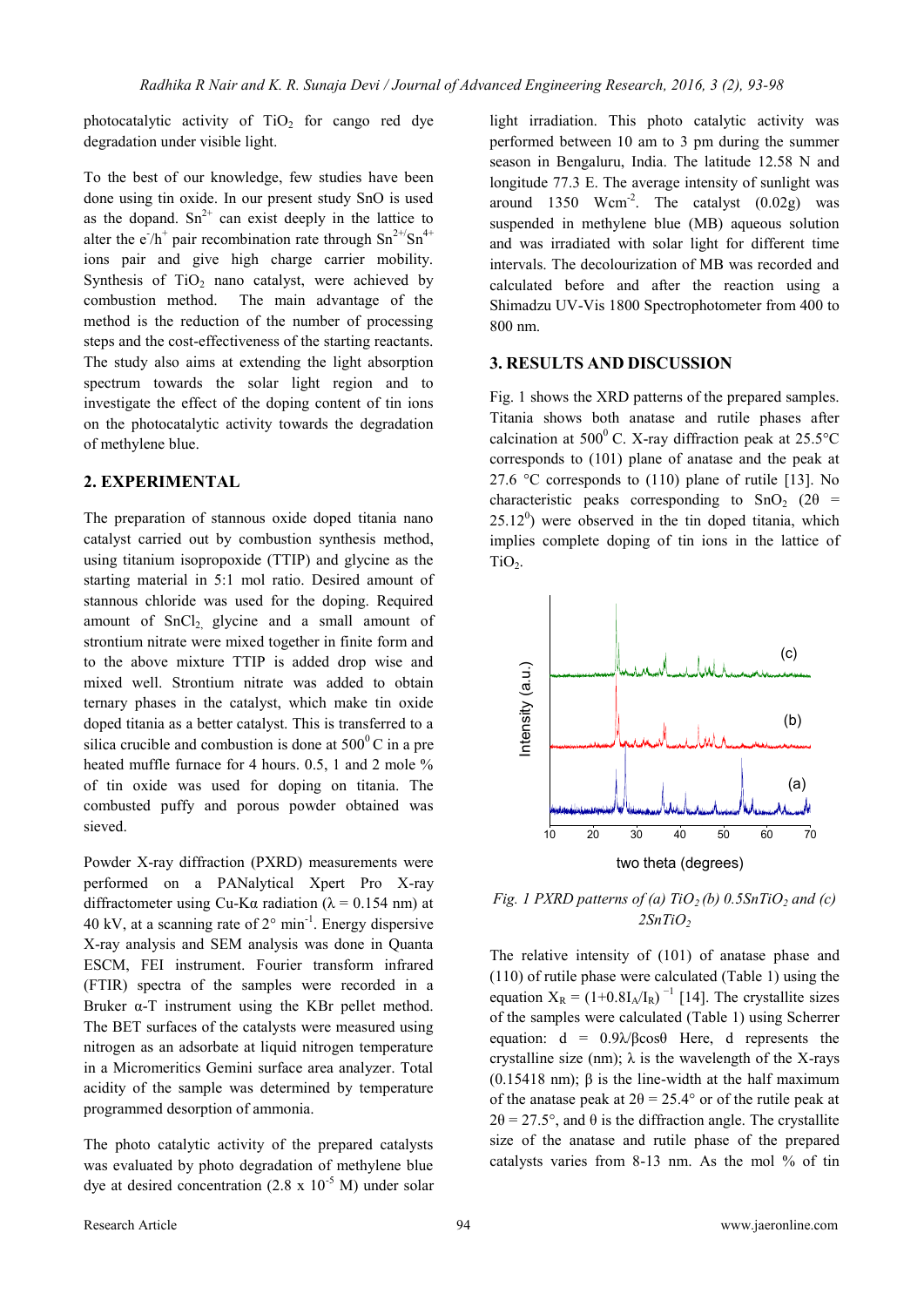photocatalytic activity of  $TiO<sub>2</sub>$  for cango red dye degradation under visible light.

To the best of our knowledge, few studies have been done using tin oxide. In our present study SnO is used as the dopand.  $Sn^{2+}$  can exist deeply in the lattice to alter the  $e^{\gamma}h^+$  pair recombination rate through  $Sn^{2+\gamma}Sn^{4+}$ ions pair and give high charge carrier mobility. Synthesis of  $TiO<sub>2</sub>$  nano catalyst, were achieved by combustion method. The main advantage of the method is the reduction of the number of processing steps and the cost-effectiveness of the starting reactants. The study also aims at extending the light absorption spectrum towards the solar light region and to investigate the effect of the doping content of tin ions on the photocatalytic activity towards the degradation of methylene blue.

## **2. EXPERIMENTAL**

The preparation of stannous oxide doped titania nano catalyst carried out by combustion synthesis method, using titanium isopropoxide (TTIP) and glycine as the starting material in 5:1 mol ratio. Desired amount of stannous chloride was used for the doping. Required amount of  $SnCl<sub>2</sub>$  glycine and a small amount of strontium nitrate were mixed together in finite form and to the above mixture TTIP is added drop wise and mixed well. Strontium nitrate was added to obtain ternary phases in the catalyst, which make tin oxide doped titania as a better catalyst. This is transferred to a silica crucible and combustion is done at  $500^{\circ}$ C in a pre heated muffle furnace for 4 hours. 0.5, 1 and 2 mole % of tin oxide was used for doping on titania. The combusted puffy and porous powder obtained was sieved.

Powder X-ray diffraction (PXRD) measurements were performed on a PANalytical Xpert Pro X-ray diffractometer using Cu-K $\alpha$  radiation ( $\lambda$  = 0.154 nm) at 40 kV, at a scanning rate of  $2^{\circ}$  min<sup>-1</sup>. Energy dispersive X-ray analysis and SEM analysis was done in Quanta ESCM, FEI instrument. Fourier transform infrared (FTIR) spectra of the samples were recorded in a Bruker  $\alpha$ -T instrument using the KBr pellet method. The BET surfaces of the catalysts were measured using nitrogen as an adsorbate at liquid nitrogen temperature in a Micromeritics Gemini surface area analyzer. Total acidity of the sample was determined by temperature programmed desorption of ammonia.

The photo catalytic activity of the prepared catalysts was evaluated by photo degradation of methylene blue dye at desired concentration  $(2.8 \times 10^{-5} \text{ M})$  under solar light irradiation. This photo catalytic activity was performed between 10 am to 3 pm during the summer season in Bengaluru, India. The latitude 12.58 N and longitude 77.3 E. The average intensity of sunlight was around  $1350$  Wcm<sup>-2</sup>. The catalyst  $(0.02g)$  was suspended in methylene blue (MB) aqueous solution and was irradiated with solar light for different time intervals. The decolourization of MB was recorded and calculated before and after the reaction using a Shimadzu UV-Vis 1800 Spectrophotometer from 400 to 800 nm.

#### **3. RESULTS AND DISCUSSION**

Fig. 1 shows the XRD patterns of the prepared samples. Titania shows both anatase and rutile phases after calcination at  $500^{\circ}$  C. X-ray diffraction peak at  $25.5^{\circ}$ C corresponds to (101) plane of anatase and the peak at 27.6  $\degree$ C corresponds to (110) plane of rutile [13]. No characteristic peaks corresponding to  $SnO<sub>2</sub>$  (2 $\theta$  =  $25.12^{\circ}$ ) were observed in the tin doped titania, which implies complete doping of tin ions in the lattice of TiO<sub>2</sub>.



*Fig. 1 PXRD patterns of (a) TiO<sub>2</sub> (b) 0.5SnTiO<sub>2</sub> and (c) 2SnTiO<sup>2</sup>*

The relative intensity of (101) of anatase phase and (110) of rutile phase were calculated (Table 1) using the equation  $X_R = (1+0.8I_A/I_R)^{-1}$  [14]. The crystallite sizes of the samples were calculated (Table 1) using Scherrer equation:  $d = 0.9\lambda/\beta\cos\theta$  Here, d represents the crystalline size (nm);  $\lambda$  is the wavelength of the X-rays (0.15418 nm); β is the line-width at the half maximum of the anatase peak at  $2\theta = 25.4^{\circ}$  or of the rutile peak at  $2\theta = 27.5^{\circ}$ , and  $\theta$  is the diffraction angle. The crystallite size of the anatase and rutile phase of the prepared catalysts varies from 8-13 nm. As the mol % of tin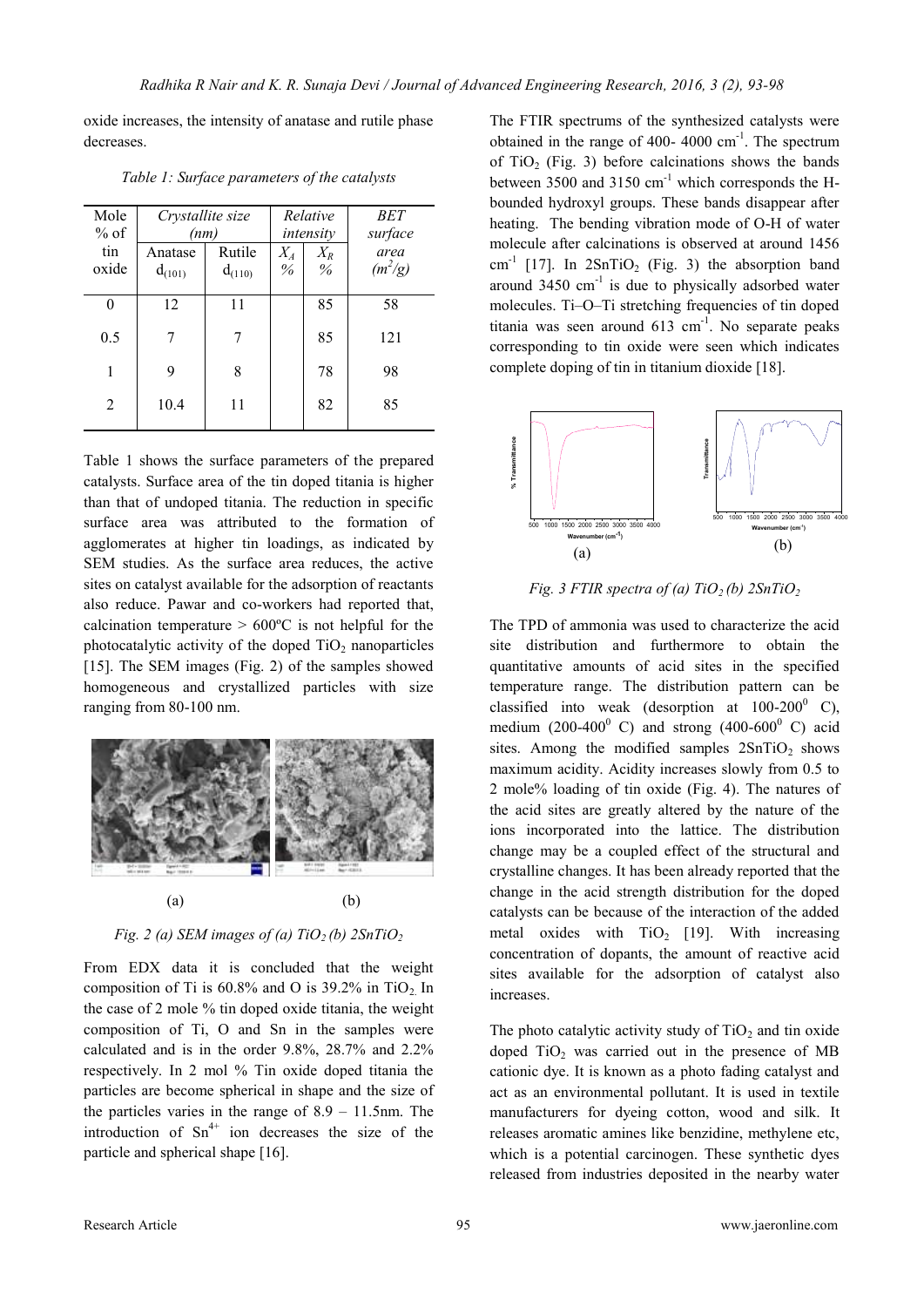oxide increases, the intensity of anatase and rutile phase decreases.

| Mole   | Crystallite size |             | Relative  |       | <b>BET</b> |
|--------|------------------|-------------|-----------|-------|------------|
| $%$ of | (nm)             |             | intensity |       | surface    |
| tin    | Anatase          | Rutile      | $X_A$     | $X_R$ | area       |
| oxide  | $d_{(101)}$      | $d_{(110)}$ | $\%$      | $\%$  | $(m^2/g)$  |
| 0      | 12               | 11          |           | 85    | 58         |
| 0.5    |                  | 7           |           | 85    | 121        |
| 1      | 9                | 8           |           | 78    | 98         |
| 2      | 10.4             | 11          |           | 82    | 85         |

*Table 1: Surface parameters of the catalysts*

Table 1 shows the surface parameters of the prepared catalysts. Surface area of the tin doped titania is higher than that of undoped titania. The reduction in specific surface area was attributed to the formation of agglomerates at higher tin loadings, as indicated by SEM studies. As the surface area reduces, the active sites on catalyst available for the adsorption of reactants also reduce. Pawar and co-workers had reported that, calcination temperature  $> 600^{\circ}$ C is not helpful for the photocatalytic activity of the doped  $TiO<sub>2</sub>$  nanoparticles [15]. The SEM images (Fig. 2) of the samples showed homogeneous and crystallized particles with size ranging from 80-100 nm.



*Fig. 2 (a) SEM images of (a)*  $TiO<sub>2</sub>$  *(b)*  $2SnTiO<sub>2</sub>$ 

From EDX data it is concluded that the weight composition of Ti is  $60.8\%$  and O is 39.2% in TiO<sub>2</sub>. In the case of 2 mole % tin doped oxide titania, the weight composition of Ti, O and Sn in the samples were calculated and is in the order 9.8%, 28.7% and 2.2% respectively. In 2 mol % Tin oxide doped titania the particles are become spherical in shape and the size of the particles varies in the range of 8.9 – 11.5nm. The introduction of  $Sn^{4+}$  ion decreases the size of the particle and spherical shape [16].

The FTIR spectrums of the synthesized catalysts were obtained in the range of 400- 4000  $\text{cm}^{-1}$ . The spectrum of  $TiO<sub>2</sub>$  (Fig. 3) before calcinations shows the bands between 3500 and 3150  $cm^{-1}$  which corresponds the Hbounded hydroxyl groups. These bands disappear after heating. The bending vibration mode of O-H of water molecule after calcinations is observed at around 1456  $\text{cm}^{-1}$  [17]. In 2SnTiO<sub>2</sub> (Fig. 3) the absorption band around  $3450 \text{ cm}^{-1}$  is due to physically adsorbed water molecules. Ti–O–Ti stretching frequencies of tin doped titania was seen around  $613 \text{ cm}^{-1}$ . No separate peaks corresponding to tin oxide were seen which indicates complete doping of tin in titanium dioxide [18].



*Fig. 3 FTIR spectra of (a) TiO<sub>2</sub> (b) 2SnTiO<sub>2</sub>* 

The TPD of ammonia was used to characterize the acid site distribution and furthermore to obtain the quantitative amounts of acid sites in the specified temperature range. The distribution pattern can be classified into weak (desorption at  $100-200$ <sup>0</sup> C), medium (200-400 $^{\circ}$  C) and strong (400-600 $^{\circ}$  C) acid sites. Among the modified samples  $2SnTiO<sub>2</sub>$  shows maximum acidity. Acidity increases slowly from 0.5 to 2 mole% loading of tin oxide (Fig. 4). The natures of the acid sites are greatly altered by the nature of the ions incorporated into the lattice. The distribution change may be a coupled effect of the structural and crystalline changes. It has been already reported that the change in the acid strength distribution for the doped catalysts can be because of the interaction of the added metal oxides with  $TiO<sub>2</sub>$  [19]. With increasing concentration of dopants, the amount of reactive acid sites available for the adsorption of catalyst also increases.

The photo catalytic activity study of  $TiO<sub>2</sub>$  and tin oxide doped  $TiO<sub>2</sub>$  was carried out in the presence of MB cationic dye. It is known as a photo fading catalyst and act as an environmental pollutant. It is used in textile manufacturers for dyeing cotton, wood and silk. It releases aromatic amines like benzidine, methylene etc, which is a potential carcinogen. These synthetic dyes released from industries deposited in the nearby water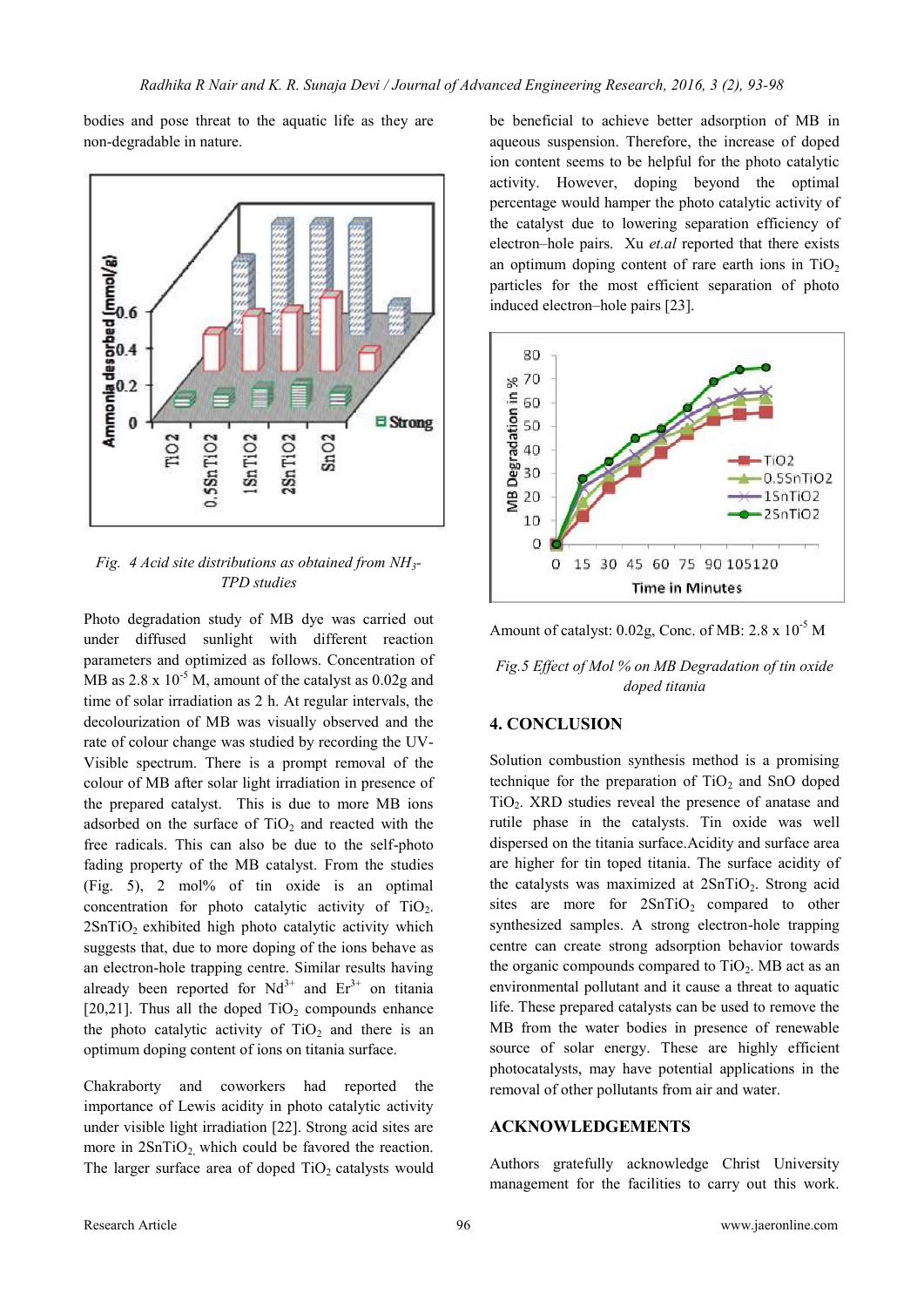bodies and pose threat to the aquatic life as they are non-degradable in nature.



*Fig. 4 Acid site distributions as obtained from NH3- TPD studies*

Photo degradation study of MB dye was carried out under diffused sunlight with different reaction parameters and optimized as follows. Concentration of MB as  $2.8 \times 10^{-5}$  M, amount of the catalyst as  $0.02g$  and time of solar irradiation as 2 h. At regular intervals, the decolourization of MB was visually observed and the rate of colour change was studied by recording the UV-Visible spectrum. There is a prompt removal of the colour of MB after solar light irradiation in presence of the prepared catalyst. This is due to more MB ions adsorbed on the surface of  $TiO<sub>2</sub>$  and reacted with the free radicals. This can also be due to the self-photo fading property of the MB catalyst. From the studies (Fig. 5), 2 mol% of tin oxide is an optimal concentration for photo catalytic activity of  $TiO<sub>2</sub>$ .  $2SnTiO<sub>2</sub>$  exhibited high photo catalytic activity which suggests that, due to more doping of the ions behave as an electron-hole trapping centre. Similar results having already been reported for  $Nd^{3+}$  and  $Er^{3+}$  on titania [20,21]. Thus all the doped  $TiO<sub>2</sub>$  compounds enhance the photo catalytic activity of  $TiO<sub>2</sub>$  and there is an optimum doping content of ions on titania surface.

Chakraborty and coworkers had reported the importance of Lewis acidity in photo catalytic activity under visible light irradiation [22]. Strong acid sites are more in  $2SnTiO<sub>2</sub>$  which could be favored the reaction. The larger surface area of doped  $TiO<sub>2</sub>$  catalysts would

be beneficial to achieve better adsorption of MB in aqueous suspension. Therefore, the increase of doped ion content seems to be helpful for the photo catalytic activity. However, doping beyond the optimal percentage would hamper the photo catalytic activity of the catalyst due to lowering separation efficiency of electron–hole pairs. Xu *et.al* reported that there exists an optimum doping content of rare earth ions in  $TiO<sub>2</sub>$ particles for the most efficient separation of photo induced electron–hole pairs [23].



Amount of catalyst:  $0.02g$ , Conc. of MB:  $2.8 \times 10^{-5}$  M

*Fig.5 Effect of Mol % on MB Degradation of tin oxide doped titania*

## **4. CONCLUSION**

Solution combustion synthesis method is a promising technique for the preparation of  $TiO<sub>2</sub>$  and SnO doped  $TiO<sub>2</sub>$ . XRD studies reveal the presence of anatase and rutile phase in the catalysts. Tin oxide was well dispersed on the titania surface.Acidity and surface area are higher for tin toped titania. The surface acidity of the catalysts was maximized at  $2SnTiO<sub>2</sub>$ . Strong acid sites are more for  $2SnTiO<sub>2</sub>$  compared to other synthesized samples. A strong electron-hole trapping centre can create strong adsorption behavior towards the organic compounds compared to  $TiO<sub>2</sub>$ . MB act as an environmental pollutant and it cause a threat to aquatic life. These prepared catalysts can be used to remove the MB from the water bodies in presence of renewable source of solar energy. These are highly efficient photocatalysts, may have potential applications in the removal of other pollutants from air and water.

#### **ACKNOWLEDGEMENTS**

Authors gratefully acknowledge Christ University management for the facilities to carry out this work.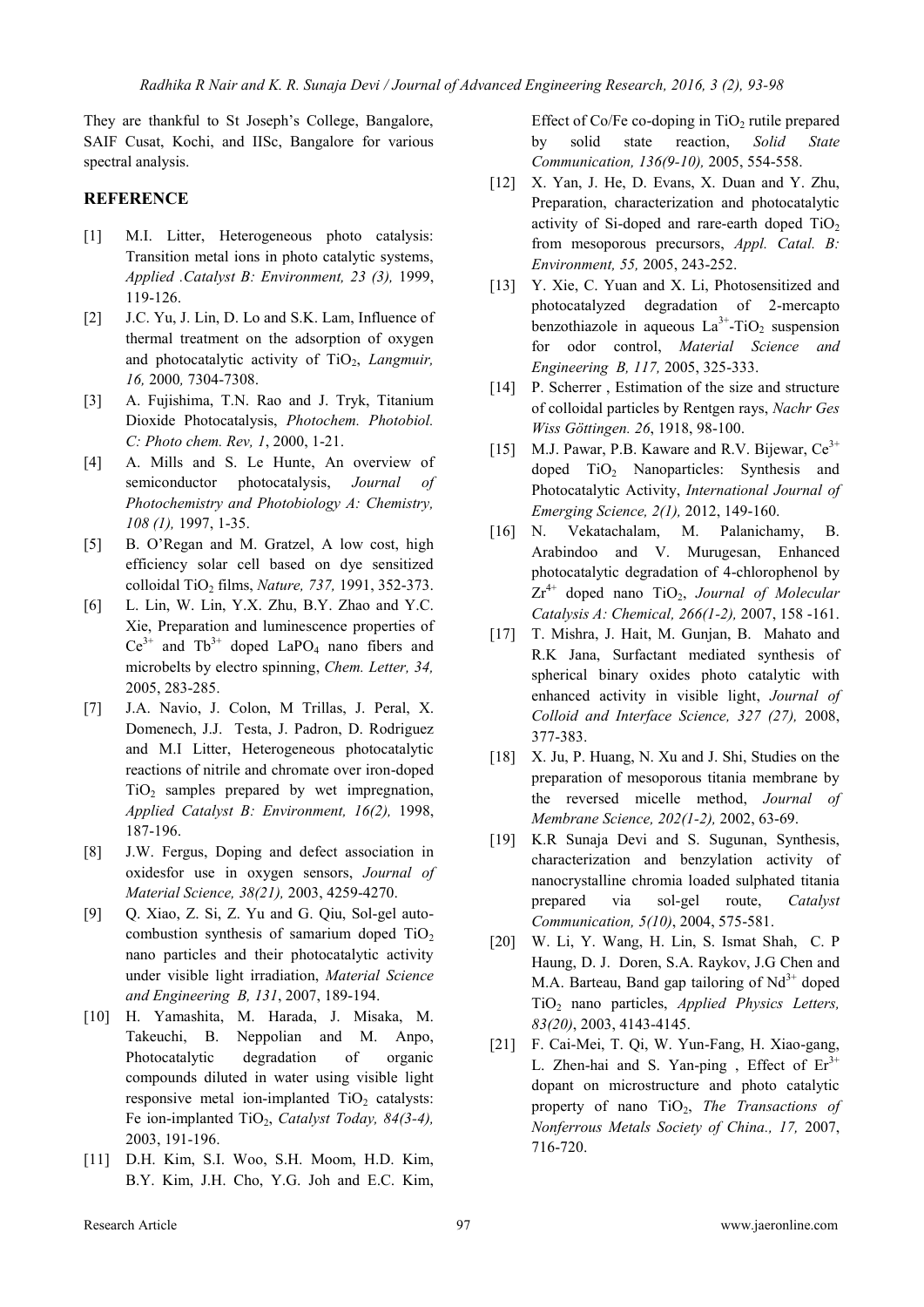They are thankful to St Joseph's College, Bangalore, SAIF Cusat, Kochi, and IISc, Bangalore for various spectral analysis.

## **REFERENCE**

- [1] M.I. Litter, Heterogeneous photo catalysis: Transition metal ions in photo catalytic systems, *Applied .Catalyst B: Environment, 23 (3),* 1999, 119-126.
- [2] J.C. Yu, J. Lin, D. Lo and S.K. Lam, Influence of thermal treatment on the adsorption of oxygen and photocatalytic activity of TiO<sub>2</sub>, *Langmuir*, *16,* 2000*,* 7304-7308.
- [3] A. Fujishima, T.N. Rao and J. Tryk, Titanium Dioxide Photocatalysis, *Photochem. Photobiol. C: Photo chem. Rev, 1*, 2000, 1-21.
- [4] A. Mills and S. Le Hunte, An overview of semiconductor photocatalysis, *Journal Photochemistry and Photobiology A: Chemistry, 108 (1),* 1997, 1-35.
- [5] B. O'Regan and M. Gratzel, A low cost, high efficiency solar cell based on dye sensitized colloidal TiO<sup>2</sup> films, *Nature, 737,* 1991, 352-373.
- [6] L. Lin, W. Lin, Y.X. Zhu, B.Y. Zhao and Y.C. Xie, Preparation and luminescence properties of  $Ce^{3+}$  and  $Tb^{3+}$  doped LaPO<sub>4</sub> nano fibers and microbelts by electro spinning, *Chem. Letter, 34,*  2005, 283-285.
- [7] J.A. Navio, J. Colon, M Trillas, J. Peral, X. Domenech, J.J. Testa, J. Padron, D. Rodriguez and M.I Litter, Heterogeneous photocatalytic reactions of nitrile and chromate over iron-doped  $TiO<sub>2</sub>$  samples prepared by wet impregnation, *Applied Catalyst B: Environment, 16(2),* 1998, 187-196.
- [8] J.W. Fergus, Doping and defect association in oxidesfor use in oxygen sensors, *Journal of Material Science, 38(21),* 2003, 4259-4270.
- [9] Q. Xiao, Z. Si, Z. Yu and G. Qiu, Sol-gel autocombustion synthesis of samarium doped  $TiO<sub>2</sub>$ nano particles and their photocatalytic activity under visible light irradiation, *Material Science and Engineering B, 131*, 2007, 189-194.
- [10] H. Yamashita, M. Harada, J. Misaka, M. Takeuchi, B. Neppolian and M. Anpo, Photocatalytic degradation of organic compounds diluted in water using visible light responsive metal ion-implanted  $TiO<sub>2</sub>$  catalysts: Fe ion-implanted TiO<sub>2</sub>, *Catalyst Today*, 84(3-4), 2003, 191-196.
- [11] D.H. Kim, S.I. Woo, S.H. Moom, H.D. Kim, B.Y. Kim, J.H. Cho, Y.G. Joh and E.C. Kim,

Effect of Co/Fe co-doping in  $TiO<sub>2</sub>$  rutile prepared by solid state reaction, *Solid State Communication, 136(9-10),* 2005, 554-558.

- [12] X. Yan, J. He, D. Evans, X. Duan and Y. Zhu, Preparation, characterization and photocatalytic activity of Si-doped and rare-earth doped  $TiO<sub>2</sub>$ from mesoporous precursors, *Appl. Catal. B: Environment, 55,* 2005, 243-252.
- [13] Y. Xie, C. Yuan and X. Li, Photosensitized and photocatalyzed degradation of 2-mercapto benzothiazole in aqueous  $La^{3+}$ -TiO<sub>2</sub> suspension for odor control, *Material Science and Engineering B, 117,* 2005, 325-333.
- [14] P. Scherrer, Estimation of the size and structure of colloidal particles by Rentgen rays, *Nachr Ges Wiss Göttingen. 26*, 1918, 98-100.
- [15] M.J. Pawar, P.B. Kaware and R.V. Bijewar,  $Ce^{3+}$ doped TiO<sub>2</sub> Nanoparticles: Synthesis and Photocatalytic Activity, *International Journal of Emerging Science, 2(1),* 2012, 149-160.
- [16] N. Vekatachalam, M. Palanichamy, B. Arabindoo and V. Murugesan, Enhanced photocatalytic degradation of 4-chlorophenol by  $Zr^{4+}$  doped nano TiO<sub>2</sub>, *Journal of Molecular Catalysis A: Chemical, 266(1-2),* 2007, 158 -161.
- [17] T. Mishra, J. Hait, M. Gunjan, B. Mahato and R.K Jana, Surfactant mediated synthesis of spherical binary oxides photo catalytic with enhanced activity in visible light, *Journal of Colloid and Interface Science, 327 (27),* 2008, 377-383.
- [18] X. Ju, P. Huang, N. Xu and J. Shi, Studies on the preparation of mesoporous titania membrane by the reversed micelle method, *Journal of Membrane Science, 202(1-2),* 2002, 63-69.
- [19] K.R Sunaja Devi and S. Sugunan, Synthesis, characterization and benzylation activity of nanocrystalline chromia loaded sulphated titania prepared via sol-gel route, *Catalyst Communication, 5(10)*, 2004, 575-581.
- [20] W. Li, Y. Wang, H. Lin, S. Ismat Shah, C. P Haung, D. J. Doren, S.A. Raykov, J.G Chen and M.A. Barteau, Band gap tailoring of  $Nd^{3+}$  doped TiO<sup>2</sup> nano particles, *Applied Physics Letters, 83(20)*, 2003, 4143-4145.
- [21] F. Cai-Mei, T. Qi, W. Yun-Fang, H. Xiao-gang, L. Zhen-hai and S. Yan-ping, Effect of  $Er<sup>3+</sup>$ dopant on microstructure and photo catalytic property of nano TiO<sub>2</sub>, *The Transactions of Nonferrous Metals Society of China., 17,* 2007, 716-720.